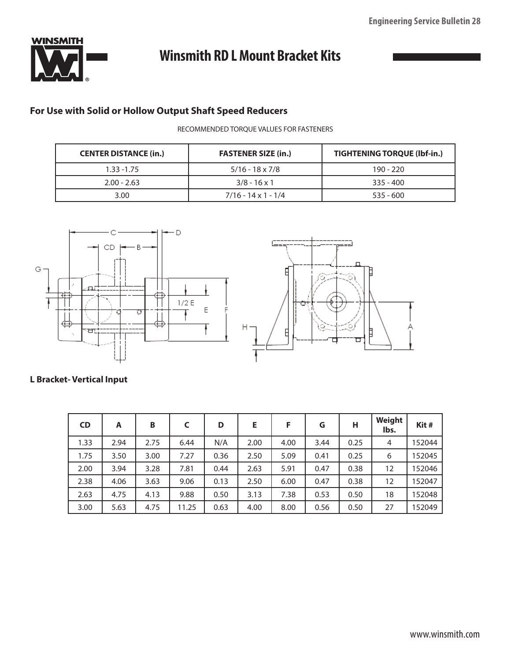

# **Winsmith RD L Mount Bracket Kits**

# **For Use with Solid or Hollow Output Shaft Speed Reducers**

RECOMMENDED TORQUE VALUES FOR FASTENERS

| <b>CENTER DISTANCE (in.)</b> | <b>FASTENER SIZE (in.)</b> | <b>TIGHTENING TORQUE (Ibf-in.)</b> |  |  |
|------------------------------|----------------------------|------------------------------------|--|--|
| $1.33 - 1.75$                | $5/16 - 18 \times 7/8$     | $190 - 220$                        |  |  |
| $2.00 - 2.63$                | $3/8 - 16 \times 1$        | $335 - 400$                        |  |  |
| 3.00                         | $7/16 - 14 \times 1 - 1/4$ | $535 - 600$                        |  |  |



# **L Bracket- Vertical Input**

| <b>CD</b> | A    | B    |       | D    | E    | F    | G    | н    | Weight<br>lbs. | Kit#   |
|-----------|------|------|-------|------|------|------|------|------|----------------|--------|
| 1.33      | 2.94 | 2.75 | 6.44  | N/A  | 2.00 | 4.00 | 3.44 | 0.25 | 4              | 152044 |
| 1.75      | 3.50 | 3.00 | 7.27  | 0.36 | 2.50 | 5.09 | 0.41 | 0.25 | 6              | 152045 |
| 2.00      | 3.94 | 3.28 | 7.81  | 0.44 | 2.63 | 5.91 | 0.47 | 0.38 | 12             | 152046 |
| 2.38      | 4.06 | 3.63 | 9.06  | 0.13 | 2.50 | 6.00 | 0.47 | 0.38 | 12             | 152047 |
| 2.63      | 4.75 | 4.13 | 9.88  | 0.50 | 3.13 | 7.38 | 0.53 | 0.50 | 18             | 152048 |
| 3.00      | 5.63 | 4.75 | 11.25 | 0.63 | 4.00 | 8.00 | 0.56 | 0.50 | 27             | 152049 |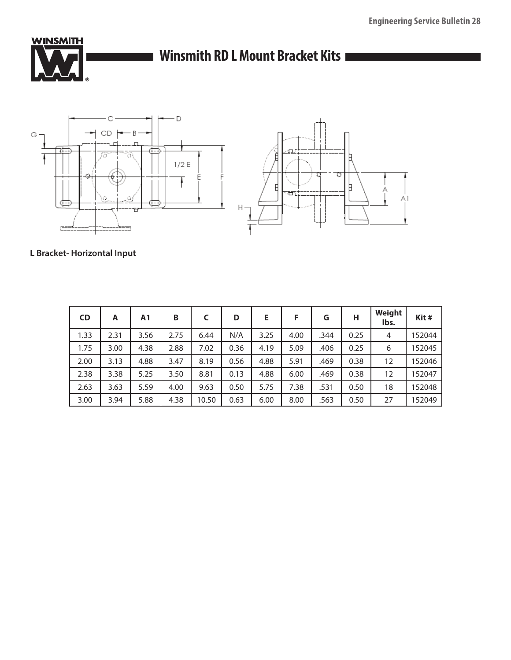

# ■ Winsmith RD L Mount Bracket Kits **■**



# **L Bracket- Horizontal Input**

| <b>CD</b> | A    | Α1   | B    | C     | D    | Е    | F    | G    | н    | Weight<br>lbs. | Kit#   |
|-----------|------|------|------|-------|------|------|------|------|------|----------------|--------|
| 1.33      | 2.31 | 3.56 | 2.75 | 6.44  | N/A  | 3.25 | 4.00 | .344 | 0.25 | $\overline{4}$ | 152044 |
| 1.75      | 3.00 | 4.38 | 2.88 | 7.02  | 0.36 | 4.19 | 5.09 | .406 | 0.25 | 6              | 152045 |
| 2.00      | 3.13 | 4.88 | 3.47 | 8.19  | 0.56 | 4.88 | 5.91 | .469 | 0.38 | 12             | 152046 |
| 2.38      | 3.38 | 5.25 | 3.50 | 8.81  | 0.13 | 4.88 | 6.00 | .469 | 0.38 | 12             | 152047 |
| 2.63      | 3.63 | 5.59 | 4.00 | 9.63  | 0.50 | 5.75 | 7.38 | .531 | 0.50 | 18             | 152048 |
| 3.00      | 3.94 | 5.88 | 4.38 | 10.50 | 0.63 | 6.00 | 8.00 | .563 | 0.50 | 27             | 152049 |